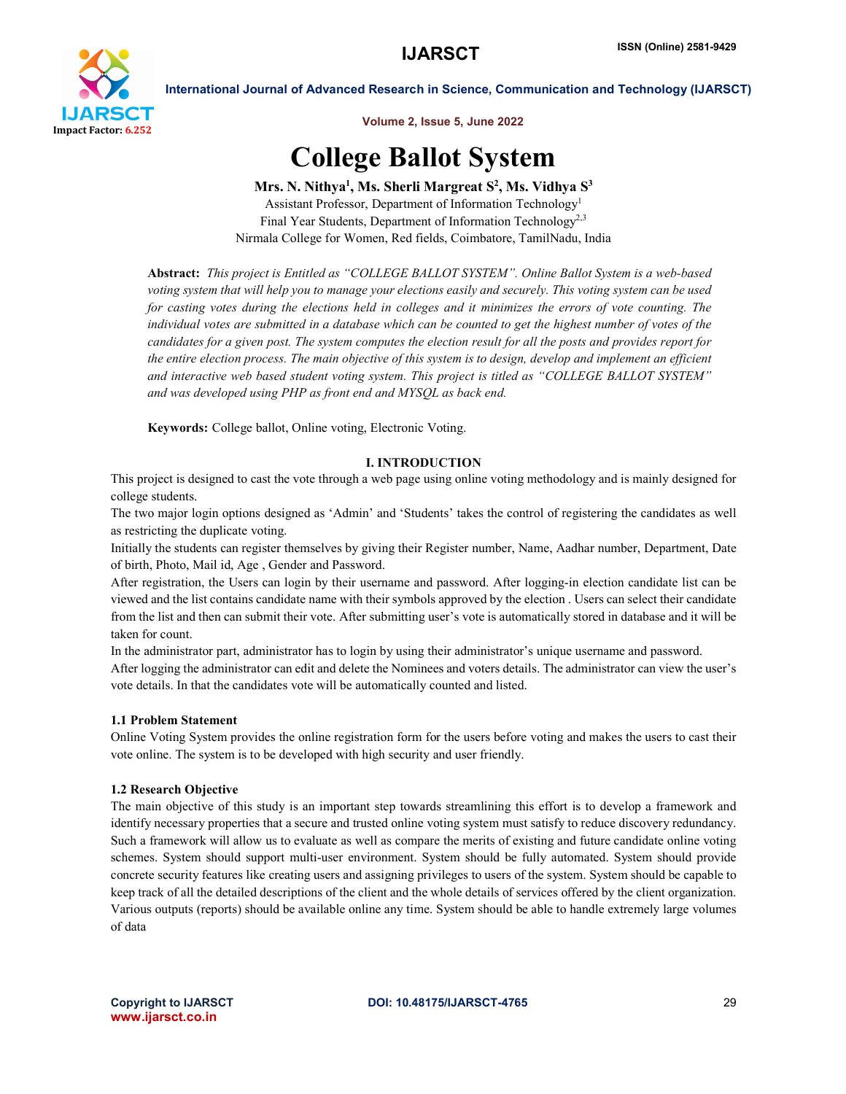

Volume 2, Issue 5, June 2022

# College Ballot System

## Mrs. N. Nithya $^1$ , Ms. Sherli Margreat  $\mathrm{S}^2$ , Ms. Vidhya  $\mathrm{S}^3$

Assistant Professor, Department of Information Technology1 Final Year Students, Department of Information Technology<sup>2,3</sup> Nirmala College for Women, Red fields, Coimbatore, TamilNadu, India

Abstract: *This project is Entitled as "COLLEGE BALLOT SYSTEM". Online Ballot System is a web-based voting system that will help you to manage your elections easily and securely. This voting system can be used for casting votes during the elections held in colleges and it minimizes the errors of vote counting. The individual votes are submitted in a database which can be counted to get the highest number of votes of the candidates for a given post. The system computes the election result for all the posts and provides report for the entire election process. The main objective of this system is to design, develop and implement an efficient and interactive web based student voting system. This project is titled as "COLLEGE BALLOT SYSTEM" and was developed using PHP as front end and MYSQL as back end.*

Keywords: College ballot, Online voting, Electronic Voting.

### I. INTRODUCTION

This project is designed to cast the vote through a web page using online voting methodology and is mainly designed for college students.

The two major login options designed as 'Admin' and 'Students' takes the control of registering the candidates as well as restricting the duplicate voting.

Initially the students can register themselves by giving their Register number, Name, Aadhar number, Department, Date of birth, Photo, Mail id, Age , Gender and Password.

After registration, the Users can login by their username and password. After logging-in election candidate list can be viewed and the list contains candidate name with their symbols approved by the election . Users can select their candidate from the list and then can submit their vote. After submitting user's vote is automatically stored in database and it will be taken for count.

In the administrator part, administrator has to login by using their administrator's unique username and password.

After logging the administrator can edit and delete the Nominees and voters details. The administrator can view the user's vote details. In that the candidates vote will be automatically counted and listed.

#### 1.1 Problem Statement

Online Voting System provides the online registration form for the users before voting and makes the users to cast their vote online. The system is to be developed with high security and user friendly.

#### 1.2 Research Objective

The main objective of this study is an important step towards streamlining this effort is to develop a framework and identify necessary properties that a secure and trusted online voting system must satisfy to reduce discovery redundancy. Such a framework will allow us to evaluate as well as compare the merits of existing and future candidate online voting schemes. System should support multi-user environment. System should be fully automated. System should provide concrete security features like creating users and assigning privileges to users of the system. System should be capable to keep track of all the detailed descriptions of the client and the whole details of services offered by the client organization. Various outputs (reports) should be available online any time. System should be able to handle extremely large volumes of data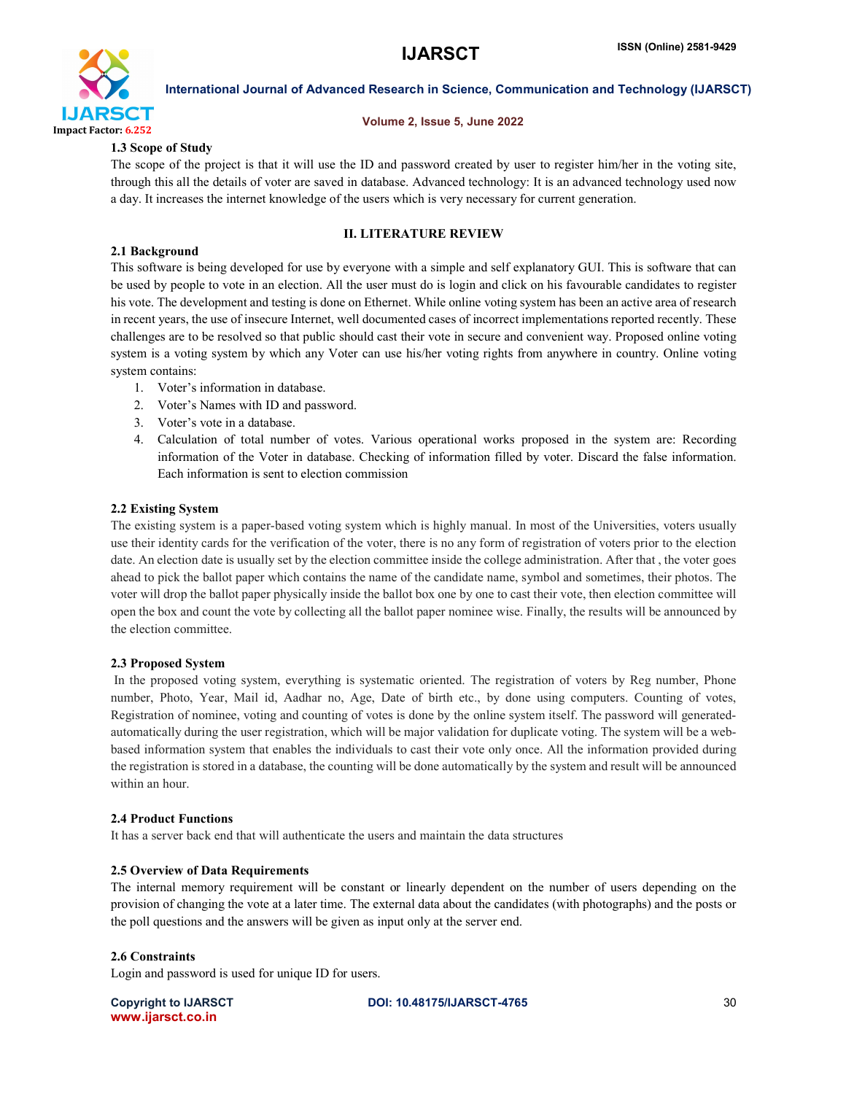

#### Volume 2, Issue 5, June 2022

#### 1.3 Scope of Study

The scope of the project is that it will use the ID and password created by user to register him/her in the voting site, through this all the details of voter are saved in database. Advanced technology: It is an advanced technology used now a day. It increases the internet knowledge of the users which is very necessary for current generation.

#### II. LITERATURE REVIEW

### 2.1 Background

This software is being developed for use by everyone with a simple and self explanatory GUI. This is software that can be used by people to vote in an election. All the user must do is login and click on his favourable candidates to register his vote. The development and testing is done on Ethernet. While online voting system has been an active area of research in recent years, the use of insecure Internet, well documented cases of incorrect implementations reported recently. These challenges are to be resolved so that public should cast their vote in secure and convenient way. Proposed online voting system is a voting system by which any Voter can use his/her voting rights from anywhere in country. Online voting system contains:

- 1. Voter's information in database.
- 2. Voter's Names with ID and password.
- 3. Voter's vote in a database.
- 4. Calculation of total number of votes. Various operational works proposed in the system are: Recording information of the Voter in database. Checking of information filled by voter. Discard the false information. Each information is sent to election commission

### 2.2 Existing System

The existing system is a paper-based voting system which is highly manual. In most of the Universities, voters usually use their identity cards for the verification of the voter, there is no any form of registration of voters prior to the election date. An election date is usually set by the election committee inside the college administration. After that, the voter goes ahead to pick the ballot paper which contains the name of the candidate name, symbol and sometimes, their photos. The voter will drop the ballot paper physically inside the ballot box one by one to cast their vote, then election committee will open the box and count the vote by collecting all the ballot paper nominee wise. Finally, the results will be announced by the election committee.

#### 2.3 Proposed System

In the proposed voting system, everything is systematic oriented. The registration of voters by Reg number, Phone number, Photo, Year, Mail id, Aadhar no, Age, Date of birth etc., by done using computers. Counting of votes, Registration of nominee, voting and counting of votes is done by the online system itself. The password will generatedautomatically during the user registration, which will be major validation for duplicate voting. The system will be a webbased information system that enables the individuals to cast their vote only once. All the information provided during the registration is stored in a database, the counting will be done automatically by the system and result will be announced within an hour.

#### 2.4 Product Functions

It has a server back end that will authenticate the users and maintain the data structures

### 2.5 Overview of Data Requirements

The internal memory requirement will be constant or linearly dependent on the number of users depending on the provision of changing the vote at a later time. The external data about the candidates (with photographs) and the posts or the poll questions and the answers will be given as input only at the server end.

#### 2.6 Constraints

Login and password is used for unique ID for users.

www.ijarsct.co.in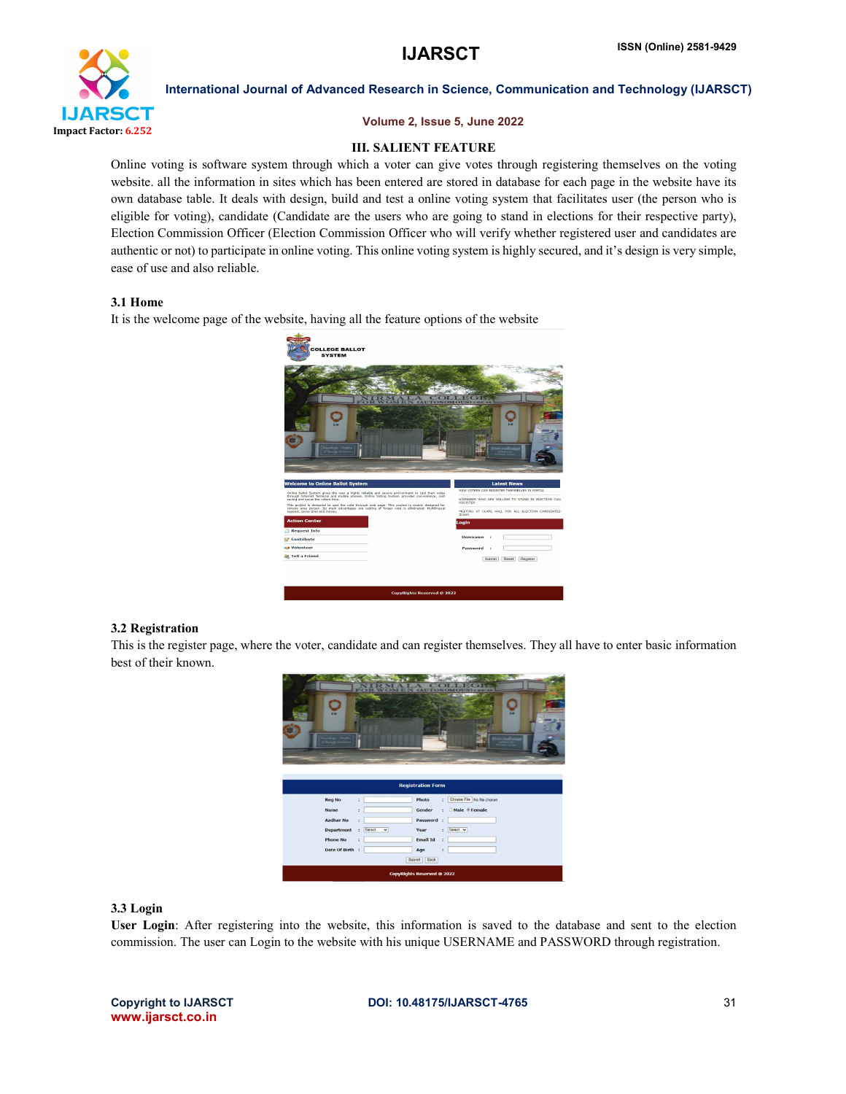

#### Volume 2, Issue 5, June 2022

#### III. SALIENT FEATURE

Online voting is software system through which a voter can give votes through registering themselves on the voting website. all the information in sites which has been entered are stored in database for each page in the website have its own database table. It deals with design, build and test a online voting system that facilitates user (the person who is eligible for voting), candidate (Candidate are the users who are going to stand in elections for their respective party), Election Commission Officer (Election Commission Officer who will verify whether registered user and candidates are authentic or not) to participate in online voting. This online voting system is highly secured, and it's design is very simple, ease of use and also reliable.

#### 3.1 Home

It is the welcome page of the website, having all the feature options of the website



#### 3.2 Registration

This is the register page, where the voter, candidate and can register themselves. They all have to enter basic information best of their known.



#### 3.3 Login

User Login: After registering into the website, this information is saved to the database and sent to the election commission. The user can Login to the website with his unique USERNAME and PASSWORD through registration.

www.ijarsct.co.in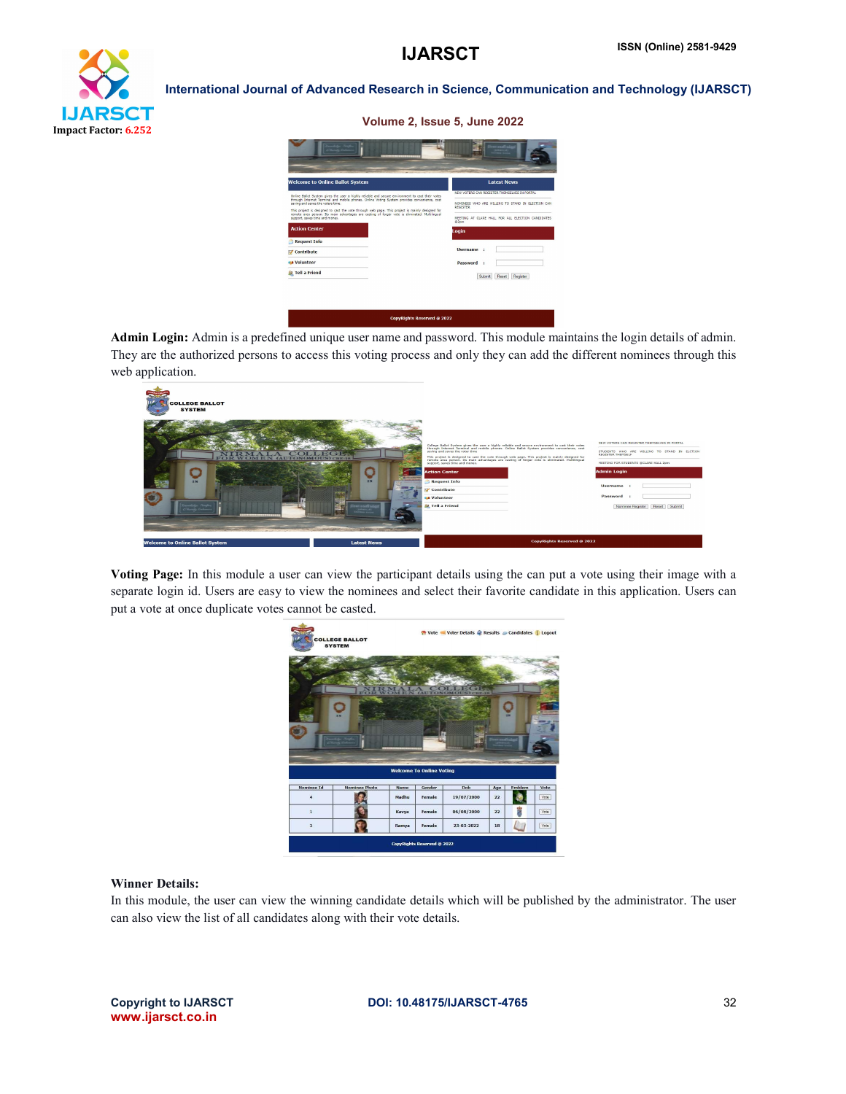



Admin Login: Admin is a predefined unique user name and password. This module maintains the login details of admin. They are the authorized persons to access this voting process and only they can add the different nominees through this web application.



Voting Page: In this module a user can view the participant details using the can put a vote using their image with a separate login id. Users are easy to view the nominees and select their favorite candidate in this application. Users can put a vote at once duplicate votes cannot be casted.



#### Winner Details:

In this module, the user can view the winning candidate details which will be published by the administrator. The user can also view the list of all candidates along with their vote details.